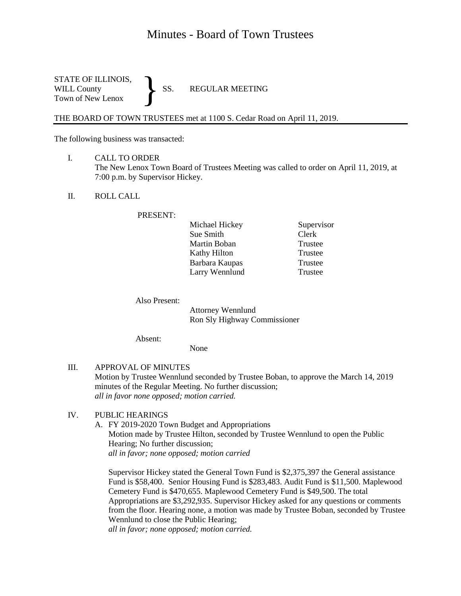# Minutes - Board of Town Trustees

STATE OF ILLINOIS,<br>WILL County SS. WILL County SS. REGULAR MEETING Town of New Lenox }

THE BOARD OF TOWN TRUSTEES met at 1100 S. Cedar Road on April 11, 2019.

The following business was transacted:

- I. CALL TO ORDER The New Lenox Town Board of Trustees Meeting was called to order on April 11, 2019, at 7:00 p.m. by Supervisor Hickey.
- II. ROLL CALL

#### PRESENT:

| Michael Hickey | Supervisor |
|----------------|------------|
| Sue Smith      | Clerk      |
| Martin Boban   | Trustee    |
| Kathy Hilton   | Trustee    |
| Barbara Kaupas | Trustee    |
| Larry Wennlund | Trustee    |

Also Present:

Attorney Wennlund Ron Sly Highway Commissioner

Absent:

None

III. APPROVAL OF MINUTES Motion by Trustee Wennlund seconded by Trustee Boban, to approve the March 14, 2019 minutes of the Regular Meeting. No further discussion; *all in favor none opposed; motion carried.*

## IV. PUBLIC HEARINGS

A. FY 2019-2020 Town Budget and Appropriations Motion made by Trustee Hilton, seconded by Trustee Wennlund to open the Public Hearing; No further discussion; *all in favor; none opposed; motion carried*

Supervisor Hickey stated the General Town Fund is \$2,375,397 the General assistance Fund is \$58,400. Senior Housing Fund is \$283,483. Audit Fund is \$11,500. Maplewood Cemetery Fund is \$470,655. Maplewood Cemetery Fund is \$49,500. The total Appropriations are \$3,292,935. Supervisor Hickey asked for any questions or comments from the floor. Hearing none, a motion was made by Trustee Boban, seconded by Trustee Wennlund to close the Public Hearing;

*all in favor; none opposed; motion carried.*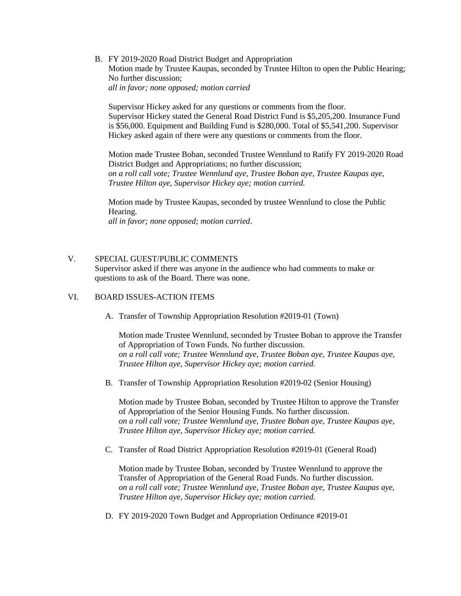B. FY 2019-2020 Road District Budget and Appropriation Motion made by Trustee Kaupas, seconded by Trustee Hilton to open the Public Hearing; No further discussion; *all in favor; none opposed; motion carried*

Supervisor Hickey asked for any questions or comments from the floor. Supervisor Hickey stated the General Road District Fund is \$5,205,200. Insurance Fund is \$56,000. Equipment and Building Fund is \$280,000. Total of \$5,541,200. Supervisor Hickey asked again of there were any questions or comments from the floor.

Motion made Trustee Boban, seconded Trustee Wennlund to Ratify FY 2019-2020 Road District Budget and Appropriations; no further discussion; *on a roll call vote; Trustee Wennlund aye, Trustee Boban aye, Trustee Kaupas aye, Trustee Hilton aye, Supervisor Hickey aye; motion carried.*

Motion made by Trustee Kaupas, seconded by trustee Wennlund to close the Public Hearing. *all in favor; none opposed; motion carried*.

#### V. SPECIAL GUEST/PUBLIC COMMENTS

Supervisor asked if there was anyone in the audience who had comments to make or questions to ask of the Board. There was none.

#### VI. BOARD ISSUES-ACTION ITEMS

A. Transfer of Township Appropriation Resolution #2019-01 (Town)

Motion made Trustee Wennlund, seconded by Trustee Boban to approve the Transfer of Appropriation of Town Funds. No further discussion. *on a roll call vote; Trustee Wennlund aye, Trustee Boban aye, Trustee Kaupas aye, Trustee Hilton aye, Supervisor Hickey aye; motion carried.*

B. Transfer of Township Appropriation Resolution #2019-02 (Senior Housing)

Motion made by Trustee Boban, seconded by Trustee Hilton to approve the Transfer of Appropriation of the Senior Housing Funds. No further discussion. *on a roll call vote; Trustee Wennlund aye, Trustee Boban aye, Trustee Kaupas aye, Trustee Hilton aye, Supervisor Hickey aye; motion carried.*

C. Transfer of Road District Appropriation Resolution #2019-01 (General Road)

Motion made by Trustee Boban, seconded by Trustee Wennlund to approve the Transfer of Appropriation of the General Road Funds. No further discussion. *on a roll call vote; Trustee Wennlund aye, Trustee Boban aye, Trustee Kaupas aye, Trustee Hilton aye, Supervisor Hickey aye; motion carried.*

D. FY 2019-2020 Town Budget and Appropriation Ordinance #2019-01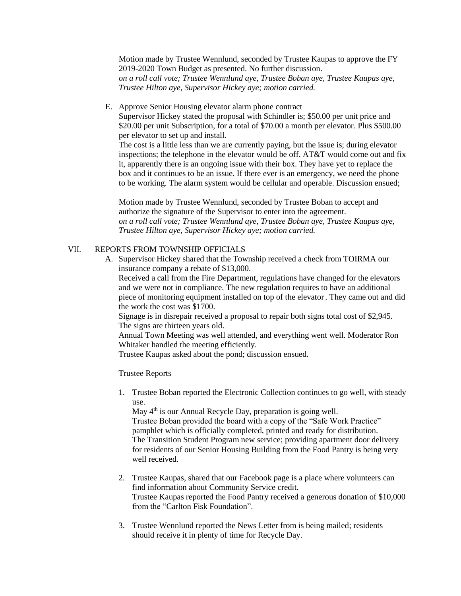Motion made by Trustee Wennlund, seconded by Trustee Kaupas to approve the FY 2019-2020 Town Budget as presented. No further discussion. *on a roll call vote; Trustee Wennlund aye, Trustee Boban aye, Trustee Kaupas aye, Trustee Hilton aye, Supervisor Hickey aye; motion carried.*

E. Approve Senior Housing elevator alarm phone contract

Supervisor Hickey stated the proposal with Schindler is; \$50.00 per unit price and \$20.00 per unit Subscription, for a total of \$70.00 a month per elevator. Plus \$500.00 per elevator to set up and install.

The cost is a little less than we are currently paying, but the issue is; during elevator inspections; the telephone in the elevator would be off. AT&T would come out and fix it, apparently there is an ongoing issue with their box. They have yet to replace the box and it continues to be an issue. If there ever is an emergency, we need the phone to be working. The alarm system would be cellular and operable. Discussion ensued;

Motion made by Trustee Wennlund, seconded by Trustee Boban to accept and authorize the signature of the Supervisor to enter into the agreement. *on a roll call vote; Trustee Wennlund aye, Trustee Boban aye, Trustee Kaupas aye, Trustee Hilton aye, Supervisor Hickey aye; motion carried.*

## VII. REPORTS FROM TOWNSHIP OFFICIALS

A. Supervisor Hickey shared that the Township received a check from TOIRMA our insurance company a rebate of \$13,000. Received a call from the Fire Department, regulations have changed for the elevators and we were not in compliance. The new regulation requires to have an additional

piece of monitoring equipment installed on top of the elevator. They came out and did the work the cost was \$1700.

Signage is in disrepair received a proposal to repair both signs total cost of \$2,945. The signs are thirteen years old.

Annual Town Meeting was well attended, and everything went well. Moderator Ron Whitaker handled the meeting efficiently.

Trustee Kaupas asked about the pond; discussion ensued.

#### Trustee Reports

1. Trustee Boban reported the Electronic Collection continues to go well, with steady use.

May  $4<sup>th</sup>$  is our Annual Recycle Day, preparation is going well. Trustee Boban provided the board with a copy of the "Safe Work Practice" pamphlet which is officially completed, printed and ready for distribution. The Transition Student Program new service; providing apartment door delivery for residents of our Senior Housing Building from the Food Pantry is being very well received.

- 2. Trustee Kaupas, shared that our Facebook page is a place where volunteers can find information about Community Service credit. Trustee Kaupas reported the Food Pantry received a generous donation of \$10,000 from the "Carlton Fisk Foundation".
- 3. Trustee Wennlund reported the News Letter from is being mailed; residents should receive it in plenty of time for Recycle Day.